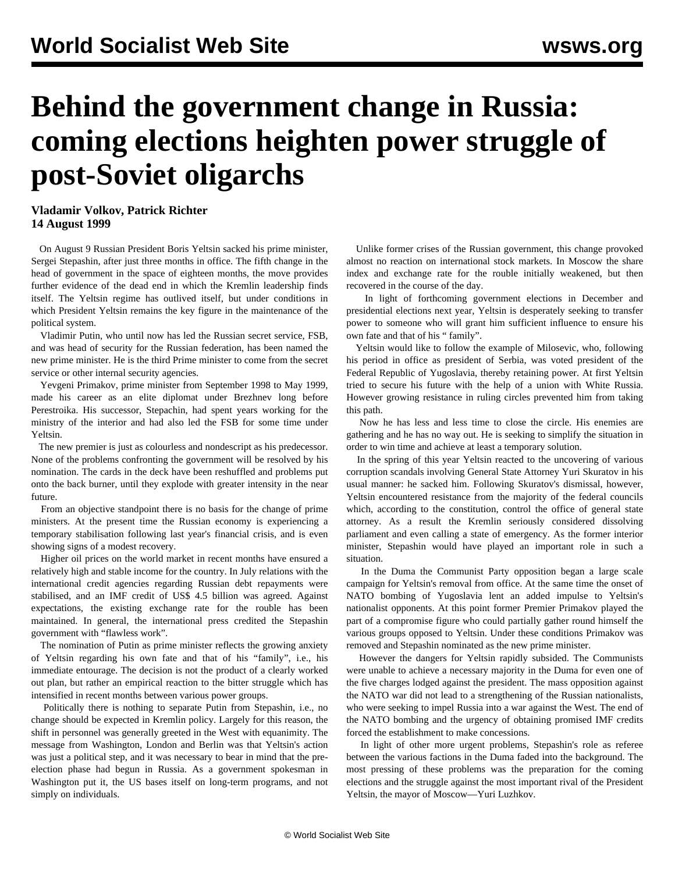## **Behind the government change in Russia: coming elections heighten power struggle of post-Soviet oligarchs**

## **Vladamir Volkov, Patrick Richter 14 August 1999**

 On August 9 Russian President Boris Yeltsin sacked his prime minister, Sergei Stepashin, after just three months in office. The fifth change in the head of government in the space of eighteen months, the move provides further evidence of the dead end in which the Kremlin leadership finds itself. The Yeltsin regime has outlived itself, but under conditions in which President Yeltsin remains the key figure in the maintenance of the political system.

 Vladimir Putin, who until now has led the Russian secret service, FSB, and was head of security for the Russian federation, has been named the new prime minister. He is the third Prime minister to come from the secret service or other internal security agencies.

 Yevgeni Primakov, prime minister from September 1998 to May 1999, made his career as an elite diplomat under Brezhnev long before Perestroika. His successor, Stepachin, had spent years working for the ministry of the interior and had also led the FSB for some time under Yeltsin.

 The new premier is just as colourless and nondescript as his predecessor. None of the problems confronting the government will be resolved by his nomination. The cards in the deck have been reshuffled and problems put onto the back burner, until they explode with greater intensity in the near future.

 From an objective standpoint there is no basis for the change of prime ministers. At the present time the Russian economy is experiencing a temporary stabilisation following last year's financial crisis, and is even showing signs of a modest recovery.

 Higher oil prices on the world market in recent months have ensured a relatively high and stable income for the country. In July relations with the international credit agencies regarding Russian debt repayments were stabilised, and an IMF credit of US\$ 4.5 billion was agreed. Against expectations, the existing exchange rate for the rouble has been maintained. In general, the international press credited the Stepashin government with "flawless work".

 The nomination of Putin as prime minister reflects the growing anxiety of Yeltsin regarding his own fate and that of his "family", i.e., his immediate entourage. The decision is not the product of a clearly worked out plan, but rather an empirical reaction to the bitter struggle which has intensified in recent months between various power groups.

 Politically there is nothing to separate Putin from Stepashin, i.e., no change should be expected in Kremlin policy. Largely for this reason, the shift in personnel was generally greeted in the West with equanimity. The message from Washington, London and Berlin was that Yeltsin's action was just a political step, and it was necessary to bear in mind that the preelection phase had begun in Russia. As a government spokesman in Washington put it, the US bases itself on long-term programs, and not simply on individuals.

 Unlike former crises of the Russian government, this change provoked almost no reaction on international stock markets. In Moscow the share index and exchange rate for the rouble initially weakened, but then recovered in the course of the day.

 In light of forthcoming government elections in December and presidential elections next year, Yeltsin is desperately seeking to transfer power to someone who will grant him sufficient influence to ensure his own fate and that of his " family".

 Yeltsin would like to follow the example of Milosevic, who, following his period in office as president of Serbia, was voted president of the Federal Republic of Yugoslavia, thereby retaining power. At first Yeltsin tried to secure his future with the help of a union with White Russia. However growing resistance in ruling circles prevented him from taking this path.

 Now he has less and less time to close the circle. His enemies are gathering and he has no way out. He is seeking to simplify the situation in order to win time and achieve at least a temporary solution.

 In the spring of this year Yeltsin reacted to the uncovering of various corruption scandals involving General State Attorney Yuri Skuratov in his usual manner: he sacked him. Following Skuratov's dismissal, however, Yeltsin encountered resistance from the majority of the federal councils which, according to the constitution, control the office of general state attorney. As a result the Kremlin seriously considered dissolving parliament and even calling a state of emergency. As the former interior minister, Stepashin would have played an important role in such a situation.

 In the Duma the Communist Party opposition began a large scale campaign for Yeltsin's removal from office. At the same time the onset of NATO bombing of Yugoslavia lent an added impulse to Yeltsin's nationalist opponents. At this point former Premier Primakov played the part of a compromise figure who could partially gather round himself the various groups opposed to Yeltsin. Under these conditions Primakov was removed and Stepashin nominated as the new prime minister.

 However the dangers for Yeltsin rapidly subsided. The Communists were unable to achieve a necessary majority in the Duma for even one of the five charges lodged against the president. The mass opposition against the NATO war did not lead to a strengthening of the Russian nationalists, who were seeking to impel Russia into a war against the West. The end of the NATO bombing and the urgency of obtaining promised IMF credits forced the establishment to make concessions.

 In light of other more urgent problems, Stepashin's role as referee between the various factions in the Duma faded into the background. The most pressing of these problems was the preparation for the coming elections and the struggle against the most important rival of the President Yeltsin, the mayor of Moscow—Yuri Luzhkov.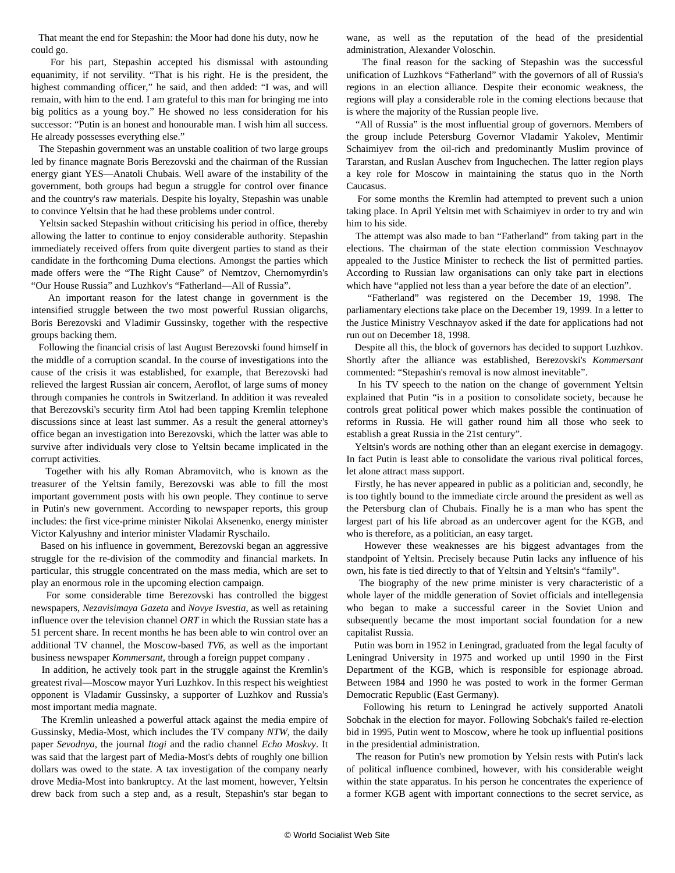That meant the end for Stepashin: the Moor had done his duty, now he could go.

 For his part, Stepashin accepted his dismissal with astounding equanimity, if not servility. "That is his right. He is the president, the highest commanding officer," he said, and then added: "I was, and will remain, with him to the end. I am grateful to this man for bringing me into big politics as a young boy." He showed no less consideration for his successor: "Putin is an honest and honourable man. I wish him all success. He already possesses everything else."

 The Stepashin government was an unstable coalition of two large groups led by finance magnate Boris Berezovski and the chairman of the Russian energy giant YES—Anatoli Chubais. Well aware of the instability of the government, both groups had begun a struggle for control over finance and the country's raw materials. Despite his loyalty, Stepashin was unable to convince Yeltsin that he had these problems under control.

 Yeltsin sacked Stepashin without criticising his period in office, thereby allowing the latter to continue to enjoy considerable authority. Stepashin immediately received offers from quite divergent parties to stand as their candidate in the forthcoming Duma elections. Amongst the parties which made offers were the "The Right Cause" of Nemtzov, Chernomyrdin's "Our House Russia" and Luzhkov's "Fatherland—All of Russia".

 An important reason for the latest change in government is the intensified struggle between the two most powerful Russian oligarchs, Boris Berezovski and Vladimir Gussinsky, together with the respective groups backing them.

 Following the financial crisis of last August Berezovski found himself in the middle of a corruption scandal. In the course of investigations into the cause of the crisis it was established, for example, that Berezovski had relieved the largest Russian air concern, Aeroflot, of large sums of money through companies he controls in Switzerland. In addition it was revealed that Berezovski's security firm Atol had been tapping Kremlin telephone discussions since at least last summer. As a result the general attorney's office began an investigation into Berezovski, which the latter was able to survive after individuals very close to Yeltsin became implicated in the corrupt activities.

 Together with his ally Roman Abramovitch, who is known as the treasurer of the Yeltsin family, Berezovski was able to fill the most important government posts with his own people. They continue to serve in Putin's new government. According to newspaper reports, this group includes: the first vice-prime minister Nikolai Aksenenko, energy minister Victor Kalyushny and interior minister Vladamir Ryschailo.

 Based on his influence in government, Berezovski began an aggressive struggle for the re-division of the commodity and financial markets. In particular, this struggle concentrated on the mass media, which are set to play an enormous role in the upcoming election campaign.

 For some considerable time Berezovski has controlled the biggest newspapers, *Nezavisimaya Gazeta* and *Novye Isvestia*, as well as retaining influence over the television channel *ORT* in which the Russian state has a 51 percent share. In recent months he has been able to win control over an additional TV channel, the Moscow-based *TV6*, as well as the important business newspaper *Kommersant*, through a foreign puppet company *.*

 In addition, he actively took part in the struggle against the Kremlin's greatest rival—Moscow mayor Yuri Luzhkov. In this respect his weightiest opponent is Vladamir Gussinsky, a supporter of Luzhkov and Russia's most important media magnate.

 The Kremlin unleashed a powerful attack against the media empire of Gussinsky, Media-Most, which includes the TV company *NTW*, the daily paper *Sevodnya*, the journal *Itogi* and the radio channel *Echo Moskvy*. It was said that the largest part of Media-Most's debts of roughly one billion dollars was owed to the state. A tax investigation of the company nearly drove Media-Most into bankruptcy. At the last moment, however, Yeltsin drew back from such a step and, as a result, Stepashin's star began to

wane, as well as the reputation of the head of the presidential administration, Alexander Voloschin.

 The final reason for the sacking of Stepashin was the successful unification of Luzhkovs "Fatherland" with the governors of all of Russia's regions in an election alliance. Despite their economic weakness, the regions will play a considerable role in the coming elections because that is where the majority of the Russian people live.

 "All of Russia" is the most influential group of governors. Members of the group include Petersburg Governor Vladamir Yakolev, Mentimir Schaimiyev from the oil-rich and predominantly Muslim province of Tararstan, and Ruslan Auschev from Inguchechen. The latter region plays a key role for Moscow in maintaining the status quo in the North Caucasus.

 For some months the Kremlin had attempted to prevent such a union taking place. In April Yeltsin met with Schaimiyev in order to try and win him to his side.

 The attempt was also made to ban "Fatherland" from taking part in the elections. The chairman of the state election commission Veschnayov appealed to the Justice Minister to recheck the list of permitted parties. According to Russian law organisations can only take part in elections which have "applied not less than a year before the date of an election".

 "Fatherland" was registered on the December 19, 1998. The parliamentary elections take place on the December 19, 1999. In a letter to the Justice Ministry Veschnayov asked if the date for applications had not run out on December 18, 1998.

 Despite all this, the block of governors has decided to support Luzhkov. Shortly after the alliance was established, Berezovski's *Kommersant* commented: "Stepashin's removal is now almost inevitable".

 In his TV speech to the nation on the change of government Yeltsin explained that Putin "is in a position to consolidate society, because he controls great political power which makes possible the continuation of reforms in Russia. He will gather round him all those who seek to establish a great Russia in the 21st century".

 Yeltsin's words are nothing other than an elegant exercise in demagogy. In fact Putin is least able to consolidate the various rival political forces, let alone attract mass support.

 Firstly, he has never appeared in public as a politician and, secondly, he is too tightly bound to the immediate circle around the president as well as the Petersburg clan of Chubais. Finally he is a man who has spent the largest part of his life abroad as an undercover agent for the KGB, and who is therefore, as a politician, an easy target.

 However these weaknesses are his biggest advantages from the standpoint of Yeltsin. Precisely because Putin lacks any influence of his own, his fate is tied directly to that of Yeltsin and Yeltsin's "family".

 The biography of the new prime minister is very characteristic of a whole layer of the middle generation of Soviet officials and intellegensia who began to make a successful career in the Soviet Union and subsequently became the most important social foundation for a new capitalist Russia.

 Putin was born in 1952 in Leningrad, graduated from the legal faculty of Leningrad University in 1975 and worked up until 1990 in the First Department of the KGB, which is responsible for espionage abroad. Between 1984 and 1990 he was posted to work in the former German Democratic Republic (East Germany).

 Following his return to Leningrad he actively supported Anatoli Sobchak in the election for mayor. Following Sobchak's failed re-election bid in 1995, Putin went to Moscow, where he took up influential positions in the presidential administration.

 The reason for Putin's new promotion by Yelsin rests with Putin's lack of political influence combined, however, with his considerable weight within the state apparatus. In his person he concentrates the experience of a former KGB agent with important connections to the secret service, as